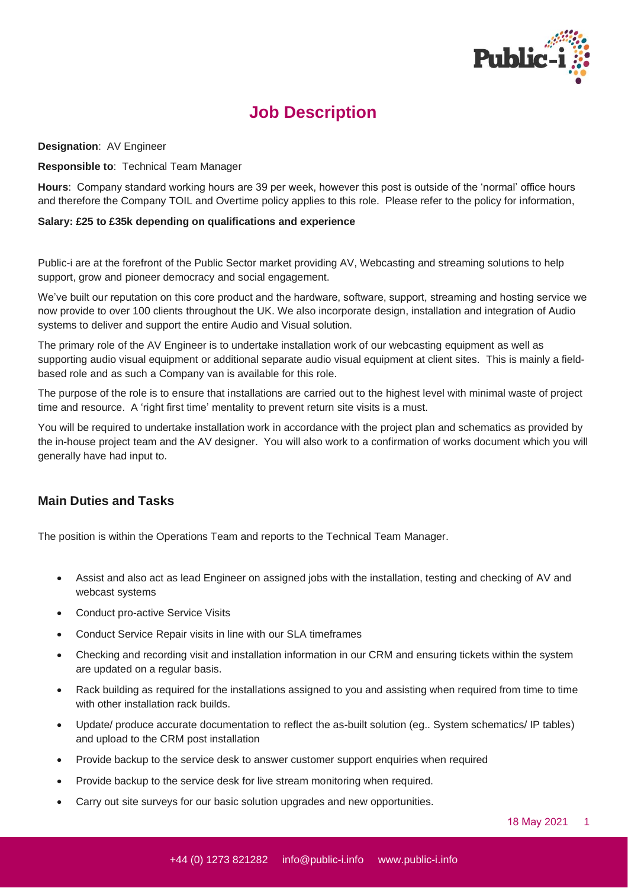

## **Job Description**

**Designation**: AV Engineer

**Responsible to**: Technical Team Manager

**Hours**: Company standard working hours are 39 per week, however this post is outside of the 'normal' office hours and therefore the Company TOIL and Overtime policy applies to this role. Please refer to the policy for information,

## **Salary: £25 to £35k depending on qualifications and experience**

Public-i are at the forefront of the Public Sector market providing AV, Webcasting and streaming solutions to help support, grow and pioneer democracy and social engagement.

We've built our reputation on this core product and the hardware, software, support, streaming and hosting service we now provide to over 100 clients throughout the UK. We also incorporate design, installation and integration of Audio systems to deliver and support the entire Audio and Visual solution.

The primary role of the AV Engineer is to undertake installation work of our webcasting equipment as well as supporting audio visual equipment or additional separate audio visual equipment at client sites. This is mainly a fieldbased role and as such a Company van is available for this role.

The purpose of the role is to ensure that installations are carried out to the highest level with minimal waste of project time and resource. A 'right first time' mentality to prevent return site visits is a must.

You will be required to undertake installation work in accordance with the project plan and schematics as provided by the in-house project team and the AV designer. You will also work to a confirmation of works document which you will generally have had input to.

## **Main Duties and Tasks**

The position is within the Operations Team and reports to the Technical Team Manager.

- Assist and also act as lead Engineer on assigned jobs with the installation, testing and checking of AV and webcast systems
- Conduct pro-active Service Visits
- Conduct Service Repair visits in line with our SLA timeframes
- Checking and recording visit and installation information in our CRM and ensuring tickets within the system are updated on a regular basis.
- Rack building as required for the installations assigned to you and assisting when required from time to time with other installation rack builds.
- Update/ produce accurate documentation to reflect the as-built solution (eg.. System schematics/ IP tables) and upload to the CRM post installation
- Provide backup to the service desk to answer customer support enquiries when required
- Provide backup to the service desk for live stream monitoring when required.
- Carry out site surveys for our basic solution upgrades and new opportunities.

18 May 2021 1